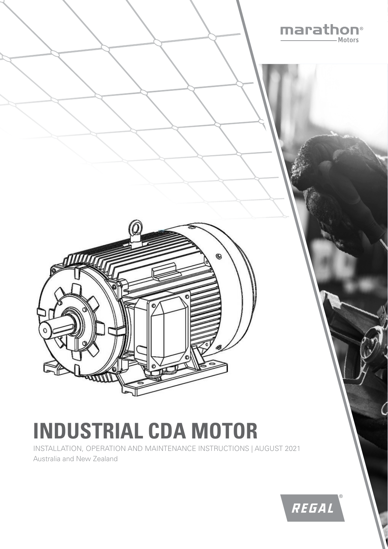

# **INDUSTRIAL CDA MOTOR**

INSTALLATION, OPERATION AND MAINTENANCE INSTRUCTIONS | AUGUST 2021 Australia and New Zealand

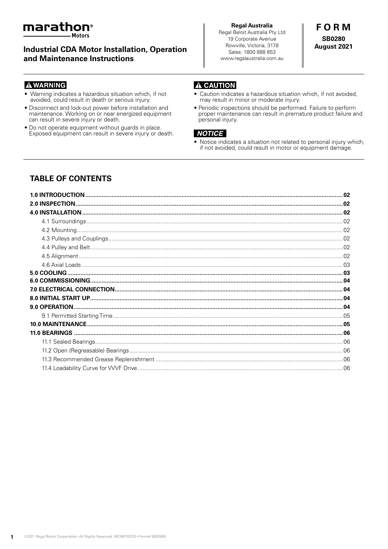

**Industrial CDA Motor Installation, Operation** and Maintenance Instructions

# **FORM SB0280** August 2021

## **A WARNING**

- Warning indicates a hazardous situation which, if not avoided, could result in death or serious injury.
- Disconnect and lock-out power before installation and maintenance. Working on or near energized equipment can result in severe injury or death.
- . Do not operate equipment without guards in place. Exposed equipment can result in severe injury or death.

## **A CAUTION**

- Caution indicates a hazardous situation which, if not avoided, may result in minor or moderate injury.
- · Periodic inspections should be performed. Failure to perform proper maintenance can result in premature product failure and personal injury.

## **NOTICE**

Notice indicates a situation not related to personal injury which, if not avoided, could result in motor or equipment damage.

# **TABLE OF CONTENTS**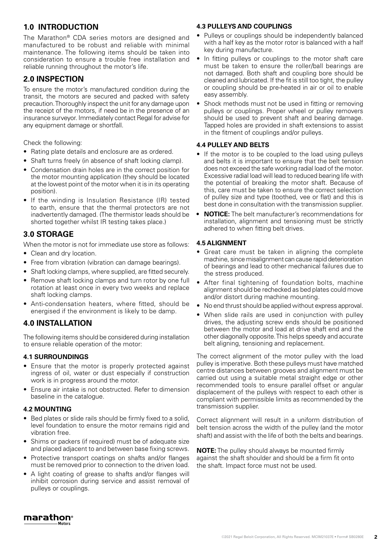# **1.0 INTRODUCTION**

The Marathon® CDA series motors are designed and manufactured to be robust and reliable with minimal maintenance. The following items should be taken into consideration to ensure a trouble free installation and reliable running throughout the motor's life.

# **2.0 INSPECTION**

To ensure the motor's manufactured condition during the transit, the motors are secured and packed with safety precaution. Thoroughly inspect the unit for any damage upon the receipt of the motors, if need be in the presence of an insurance surveyor. Immediately contact Regal for advise for any equipment damage or shortfall.

Check the following:

- Rating plate details and enclosure are as ordered.
- Shaft turns freely (in absence of shaft locking clamp).
- Condensation drain holes are in the correct position for the motor mounting application (they should be located at the lowest point of the motor when it is in its operating position).
- If the winding is Insulation Resistance (IR) tested to earth, ensure that the thermal protectors are not inadvertently damaged. (The thermistor leads should be shorted together whilst IR testing takes place.)

# **3.0 STORAGE**

When the motor is not for immediate use store as follows:

- Clean and dry location.
- Free from vibration (vibration can damage bearings).
- Shaft locking clamps, where supplied, are fitted securely.
- Remove shaft locking clamps and turn rotor by one full rotation at least once in every two weeks and replace shaft locking clamps.
- Anti-condensation heaters, where fitted, should be energised if the environment is likely to be damp.

## **4.0 INSTALLATION**

The following items should be considered during installation to ensure reliable operation of the motor:

## **4.1 SURROUNDINGS**

- Ensure that the motor is properly protected against ingress of oil, water or dust especially if construction work is in progress around the motor.
- Ensure air intake is not obstructed. Refer to dimension baseline in the catalogue.

## **4.2 MOUNTING**

- Bed plates or slide rails should be firmly fixed to a solid, level foundation to ensure the motor remains rigid and vibration free.
- Shims or packers (if required) must be of adequate size and placed adjacent to and between base fixing screws.
- Protective transport coatings on shafts and/or flanges must be removed prior to connection to the driven load.
- A light coating of grease to shafts and/or flanges will inhibit corrosion during service and assist removal of pulleys or couplings.

## **4.3 PULLEYS AND COUPLINGS**

- Pulleys or couplings should be independently balanced with a half key as the motor rotor is balanced with a half key during manufacture.
- In fitting pulleys or couplings to the motor shaft care must be taken to ensure the roller/ball bearings are not damaged. Both shaft and coupling bore should be cleaned and lubricated. If the fit is still too tight, the pulley or coupling should be pre-heated in air or oil to enable easy assembly.
- Shock methods must not be used in fitting or removing pulleys or couplings. Proper wheel or pulley removers should be used to prevent shaft and bearing damage. Tapped holes are provided in shaft extensions to assist in the fitment of couplings and/or pulleys.

## **4.4 PULLEY AND BELTS**

- If the motor is to be coupled to the load using pulleys and belts it is important to ensure that the belt tension does not exceed the safe working radial load of the motor. Excessive radial load will lead to reduced bearing life with the potential of breaking the motor shaft. Because of this, care must be taken to ensure the correct selection of pulley size and type (toothed, vee or flat) and this is best done in consultation with the transmission supplier.
- **• NOTICE:** The belt manufacturer's recommendations for installation, alignment and tensioning must be strictly adhered to when fitting belt drives.

## **4.5 ALIGNMENT**

- Great care must be taken in aligning the complete machine, since misalignment can cause rapid deterioration of bearings and lead to other mechanical failures due to the stress produced.
- After final tightening of foundation bolts, machine alignment should be rechecked as bed plates could move and/or distort during machine mounting.
- No end thrust should be applied without express approval.
- When slide rails are used in conjunction with pulley drives, the adjusting screw ends should be positioned between the motor and load at drive shaft end and the other diagonally opposite. This helps speedy and accurate belt aligning, tensioning and replacement.

The correct alignment of the motor pulley with the load pulley is imperative. Both these pulleys must have matched centre distances between grooves and alignment must be carried out using a suitable metal straight edge or other recommended tools to ensure parallel offset or angular displacement of the pulleys with respect to each other is compliant with permissible limits as recommended by the transmission supplier.

Correct alignment will result in a uniform distribution of belt tension across the width of the pulley (and the motor shaft) and assist with the life of both the belts and bearings.

**NOTE:** The pulley should always be mounted firmly against the shaft shoulder and should be a firm fit onto the shaft. Impact force must not be used.

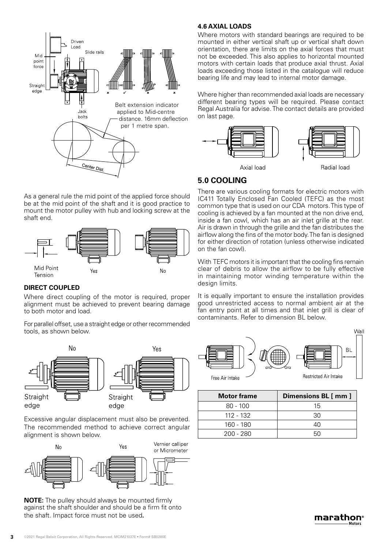

As a general rule the mid point of the applied force should be at the mid point of the shaft and it is good practice to mount the motor pulley with hub and locking screw at the shaft end.



## **DIRECT COUPLED**

Where direct coupling of the motor is required, proper alignment must be achieved to prevent bearing damage to both motor and load.

For parallel offset, use a straight edge or other recommended tools, as shown below.



Excessive angular displacement must also be prevented. The recommended method to achieve correct angular alignment is shown below.



**NOTE:** The pulley should always be mounted firmly against the shaft shoulder and should be a firm fit onto the shaft. Impact force must not be used**.**

#### **4.6 AXIAL LOADS**

Where motors with standard bearings are required to be mounted in either vertical shaft up or vertical shaft down orientation, there are limits on the axial forces that must not be exceeded. This also applies to horizontal mounted motors with certain loads that produce axial thrust. Axial loads exceeding those listed in the catalogue will reduce bearing life and may lead to internal motor damage.

Where higher than recommended axial loads are necessary different bearing types will be required. Please contact Regal Australia for advise. The contact details are provided on last page.



# **5.0 COOLING**

There are various cooling formats for electric motors with IC411 Totally Enclosed Fan Cooled (TEFC) as the most common type that is used on our CDA motors. This type of cooling is achieved by a fan mounted at the non drive end, inside a fan cowl, which has an air inlet grille at the rear. Air is drawn in through the grille and the fan distributes the airflow along the fins of the motor body. The fan is designed for either direction of rotation (unless otherwise indicated on the fan cowl).

With TEFC motors it is important that the cooling fins remain clear of debris to allow the airflow to be fully effective in maintaining motor winding temperature within the design limits.

It is equally important to ensure the installation provides good unrestricted access to normal ambient air at the fan entry point at all times and that inlet grill is clear of contaminants. Refer to dimension BL below.



| Dimensions BL [ mm ] |
|----------------------|
| 15                   |
| 30                   |
| 40                   |
|                      |
|                      |

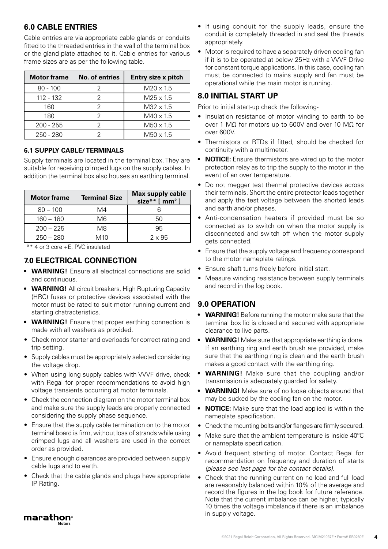# **6.0 CABLE ENTRIES**

Cable entries are via appropriate cable glands or conduits fitted to the threaded entries in the wall of the terminal box or the gland plate attached to it. Cable entries for various frame sizes are as per the following table.

| <b>Motor frame</b> | No. of entries | Entry size x pitch |
|--------------------|----------------|--------------------|
| $80 - 100$         |                | $M20 \times 1.5$   |
| 112 - 132          |                | $M25 \times 1.5$   |
| 160                |                | $M32 \times 1.5$   |
| 180                |                | $M40 \times 1.5$   |
| $200 - 255$        |                | $M50 \times 1.5$   |
| $250 - 280$        |                | $M50 \times 1.5$   |

## **6.1 SUPPLY CABLE/ TERMINALS**

Supply terminals are located in the terminal box. They are suitable for receiving crimped lugs on the supply cables. In addition the terminal box also houses an earthing terminal.

| <b>Motor frame</b> | <b>Terminal Size</b> | <b>Max supply cable</b><br>size** $[mm^2]$ |
|--------------------|----------------------|--------------------------------------------|
| $80 - 100$         | M4                   |                                            |
| $160 - 180$        | M6                   | 50                                         |
| $200 - 225$        | M8                   | 95                                         |
| $250 - 280$        | M10                  | $2 \times 95$                              |

\*\* 4 or 3 core +E, PVC insulated

# **7.0 ELECTRICAL CONNECTION**

- **• WARNING!** Ensure all electrical connections are solid and continuous.
- **• WARNING!** All circuit breakers, High Rupturing Capacity (HRC) fuses or protective devices associated with the motor must be rated to suit motor running current and starting chatracteristics.
- **WARNING!** Ensure that proper earthing connection is made with all washers as provided.
- Check motor starter and overloads for correct rating and trip setting.
- Supply cables must be appropriately selected considering the voltage drop.
- When using long supply cables with VVVF drive, check with Regal for proper recommendations to avoid high voltage transients occurring at motor terminals.
- Check the connection diagram on the motor terminal box and make sure the supply leads are properly connected considering the supply phase sequence.
- Ensure that the supply cable termination on to the motor terminal board is firm, without loss of strands while using crimped lugs and all washers are used in the correct order as provided.
- Ensure enough clearances are provided between supply cable lugs and to earth.
- Check that the cable glands and plugs have appropriate IP Rating.
- If using conduit for the supply leads, ensure the conduit is completely threaded in and seal the threads appropriately.
- Motor is required to have a separately driven cooling fan if it is to be operated at below 25Hz with a VVVF Drive for constant torque applications. In this case, cooling fan must be connected to mains supply and fan must be operational while the main motor is running.

## **8.0 INITIAL START UP**

Prior to initial start-up check the following-

- Insulation resistance of motor winding to earth to be over 1 MΩ for motors up to 600V and over 10 MΩ for over 600V.
- Thermistors or RTDs if fitted, should be checked for continuity with a multimeter.
- **• NOTICE:** Ensure thermistors are wired up to the motor protection relay as to trip the supply to the motor in the event of an over temperature.
- Do not megger test thermal protective devices across their terminals. Short the entire protector leads together and apply the test voltage between the shorted leads and earth and/or phases.
- Anti-condensation heaters if provided must be so connected as to switch on when the motor supply is disconnected and switch off when the motor supply gets connected.
- Ensure that the supply voltage and frequency correspond to the motor nameplate ratings.
- Ensure shaft turns freely before initial start.
- Measure winding resistance between supply terminals and record in the log book.

## **9.0 OPERATION**

- **• WARNING!** Before running the motor make sure that the terminal box lid is closed and secured with appropriate clearance to live parts.
- **• WARNING!** Make sure that appropriate earthing is done. If an earthing ring and earth brush are provided, make sure that the earthing ring is clean and the earth brush makes a good contact with the earthing ring.
- **• WARNING!** Make sure that the coupling and/or transmission is adequately guarded for safety.
- **• WARNING!** Make sure of no loose objects around that may be sucked by the cooling fan on the motor.
- **• NOTICE:** Make sure that the load applied is within the nameplate specification.
- Check the mounting bolts and/or flanges are firmly secured.
- Make sure that the ambient temperature is inside 40°C or nameplate specification.
- Avoid frequent starting of motor. Contact Regal for recommendation on frequency and duration of starts *(please see last page for the contact details).*
- Check that the running current on no load and full load are reasonably balanced within 10% of the average and record the figures in the log book for future reference. Note that the current imbalance can be higher, typically 10 times the voltage imbalance if there is an imbalance in supply voltage.

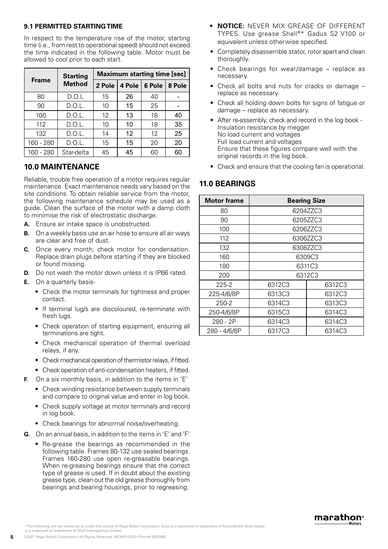#### **9.1 PERMITTED STARTING TIME**

In respect to the temperature rise of the motor, starting time (i.e., from rest to operational speed) should not exceed the time indicated in the following table. Motor must be allowed to cool prior to each start.

|              | <b>Starting</b> |                   |        | <b>Maximum starting time [sec]</b> |        |
|--------------|-----------------|-------------------|--------|------------------------------------|--------|
| <b>Frame</b> | <b>Method</b>   | 2 Pole            | 4 Pole | 6 Pole                             | 8 Pole |
| 80           | D.O.L           | 15                | 26     | 40                                 |        |
| 90           | D.O.L.          | 10                | 15     | 25                                 |        |
| 100          | D.O.L.          | $12 \overline{ }$ | 13     | 18                                 | 40     |
| 112          | D.O.L.          | 10                | 10     | 18                                 | 35     |
| 132          | D.O.L.          | 14                | 12     | 12                                 | 25     |
| 160 - 280    | D.O.L.          | 15                | 15     | 20                                 | 20     |
| 160 - 280    | Star-delta      | 45                | 45     | 60                                 | 60     |

# **10.0 MAINTENANCE**

Reliable, trouble free operation of a motor requires regular maintenance. Exact maintenance needs vary based on the site conditions. To obtain reliable service from the motor, the following maintenance schedule may be used as a guide. Clean the surface of the motor with a damp cloth to minimise the risk of electrostatic discharge.

- **A.** Ensure air intake space is unobstructed.
- **B.** On a weekly basis use an air hose to ensure all air ways are clear and free of dust.
- **C.** Once every month, check motor for condensation. Replace drain plugs before starting if they are blocked or found missing.
- **D.** Do not wash the motor down unless it is IP66 rated.
- **E.** On a quarterly basis-
	- Check the motor terminals for tightness and proper contact.
	- If terminal lug/s are discoloured, re-terminate with fresh lugs.
	- Check operation of starting equipment, ensuring all terminations are tight.
	- Check mechanical operation of thermal overload relays, if any.
	- Check mechanical operation of thermistor relays, if fitted.
	- Check operation of anti-condensation heaters, if fitted.
- **F.** On a six monthly basis, in addition to the items in 'E'
	- Check winding resistance between supply terminals and compare to original value and enter in log book.
	- Check supply voltage at motor terminals and record in log book.
	- Check bearings for abnormal noise/overheating.
- **G.** On an annual basis, in addition to the items in 'E' and 'F'
	- Re-grease the bearings as recommended in the following table. Frames 80-132 use sealed bearings. Frames 160-280 use open re-greasable bearings. When re-greasing bearings ensure that the correct type of grease is used. If in doubt about the existing grease type, clean out the old grease thoroughly from bearings and bearing housings, prior to regreasing.
- **• NOTICE:** NEVER MIX GREASE OF DIFFERENT TYPES. Use grease Shell®\* Gadus S2 V100 or equivalent unless otherwise specified.
- Completely disassemble stator, rotor apart and clean thoroughly.
- Check bearings for wear/damage replace as necessary.
- Check all bolts and nuts for cracks or damage replace as necessary.
- Check all holding down bolts for signs of fatigue or damage – replace as necessary.
- After re-assembly, check and record in the log book Insulation resistance by megger No load current and voltages Full load current and voltages Ensure that these figures compare well with the original records in the log book.
- Check and ensure that the cooling fan is operational.

# **11.0 BEARINGS**

| <b>Motor frame</b> | <b>Bearing Size</b> |          |
|--------------------|---------------------|----------|
| 80                 |                     | 6204ZZC3 |
| 90                 |                     | 6205ZZC3 |
| 100                |                     | 6206ZZC3 |
| 112                |                     | 6306ZZC3 |
| 132                |                     | 6308ZZC3 |
| 160                |                     | 6309C3   |
| 180                |                     | 6311C3   |
| 200                |                     | 6312C3   |
| 225-2              | 6312C3              | 6312C3   |
| 225-4/6/8P         | 6313C3              | 6312C3   |
| 250-2              | 6314C3              | 6313C3   |
| 250-4/6/8P         | 6315C3              | 6314C3   |
| 280 - 2P           | 6314C3              | 6314C3   |
| 280 - 4/6/8P       | 6317C3              | 6314C3   |

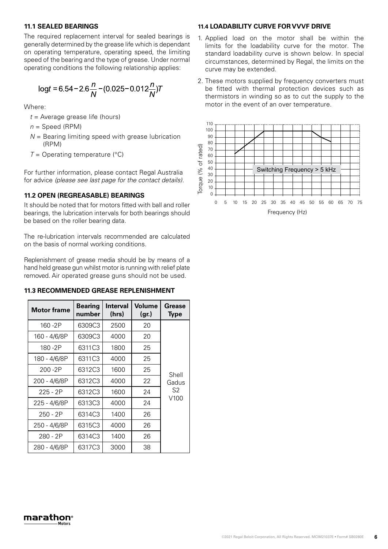## **11.1 SEALED BEARINGS**

The required replacement interval for sealed bearings is generally determined by the grease life which is dependant on operating temperature, operating speed, the limiting speed of the bearing and the type of grease. Under normal operating conditions the following relationship applies:

$$
\log t = 6.54 - 2.6 \frac{n}{N} - (0.025 - 0.012 \frac{n}{N})T
$$

Where:

- *t* = Average grease life (hours)
- $n =$  Speed (RPM)
- *N* = Bearing limiting speed with grease lubrication (RPM) *Ph: +61-3-9237 4000 www.cmggroup.com.au*
- $T =$  Operating temperature ( $\degree$ C)

For further information, please contact Regal Australia for advice *(please see last page for the contact details).*

#### 11.2 OPEN (REGREASABLE) BEARINGS

It should be noted that for motors fitted with ball and roller bearings, the lubrication intervals for both bearings should 10 64 be based on the roller bearing data.

The re-lubrication intervals recommended are calculated on the basis of normal working conditions. 60 84

Replenishment of grease media should be by means of a hand held grease gun whilst motor is running with relief plate removed. Air operated grease guns should not be used.

#### **11.3 RECOMMENDED GREASE REPLENISHMENT**

| and held grease gun whilst motor is running with relief plate                                 |                          |                          |                        |                              |
|-----------------------------------------------------------------------------------------------|--------------------------|--------------------------|------------------------|------------------------------|
| emoved. Air operated grease guns should not be used.<br>11.3 RECOMMENDED GREASE REPLENISHMENT |                          |                          |                        |                              |
| <b>Motor frame</b>                                                                            | <b>Bearing</b><br>number | <b>Interval</b><br>(hrs) | <b>Volume</b><br>(gr.) | <b>Grease</b><br><b>Type</b> |
| 160-2P                                                                                        | 6309C3                   | 2500                     | 20                     |                              |
| 160 - 4/6/8P                                                                                  | 6309C3                   | 4000                     | 20                     |                              |
| 180-2P                                                                                        | 6311C3                   | 1800                     | 25                     |                              |
| 180 - 4/6/8P                                                                                  | 6311C3                   | 4000                     | 25                     |                              |
| 200-2P                                                                                        | 6312C3                   | 1600                     | 25                     | Shell                        |
| 200 - 4/6/8P                                                                                  | 6312C3                   | 4000                     | 22                     | Gadus                        |
| $225 - 2P$                                                                                    | 6312C3                   | 1600                     | 24                     | S <sub>2</sub>               |
| 225 - 4/6/8P                                                                                  | 6313C3                   | 4000                     | 24                     | V <sub>100</sub>             |
| 250 - 2P                                                                                      | 6314C3                   | 1400                     | 26                     |                              |
| 250 - 4/6/8P                                                                                  | 6315C3                   | 4000                     | 26                     |                              |
| 280 - 2P                                                                                      | 6314C3                   | 1400                     | 26                     |                              |
| 280 - 4/6/8P                                                                                  | 6317C3                   | 3000                     | 38                     |                              |

#### **11.4 LOADABILITY CURVE FOR VVVF DRIVE**

- 1. Applied load on the motor shall be within the limits for the loadability curve for the motor. The standard loadability curve is shown below. In special circumstances, determined by Regal, the limits on the curve may be extended.
- 2. These motors supplied by frequency converters must be fitted with thermal protection devices such as thermistors in winding so as to cut the supply to the motor in the event of an over temperature.